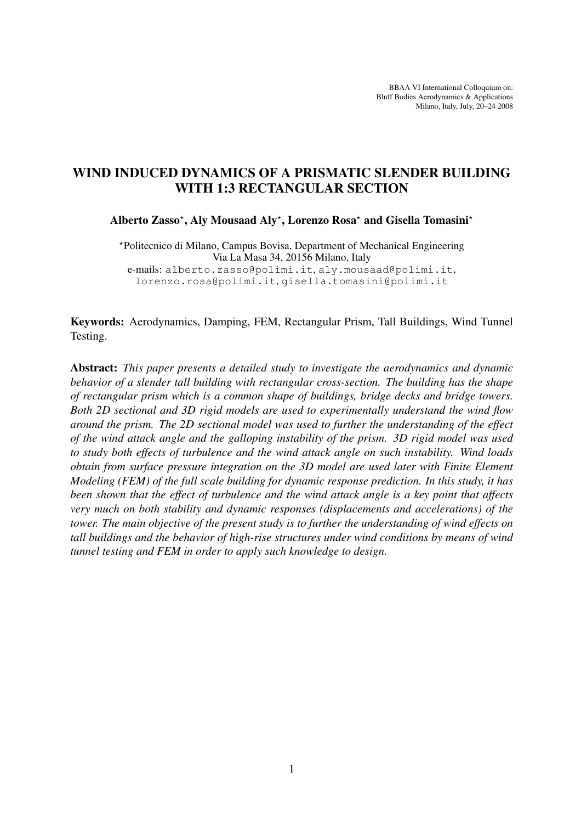BBAA VI International Colloquium on: Bluff Bodies Aerodynamics & Applications Milano, Italy, July, 20–24 2008

# WIND INDUCED DYNAMICS OF A PRISMATIC SLENDER BUILDING WITH 1:3 RECTANGULAR SECTION

Alberto Zasso\*, Aly Mousaad Aly\*, Lorenzo Rosa\* and Gisella Tomasini\*

?Politecnico di Milano, Campus Bovisa, Department of Mechanical Engineering Via La Masa 34, 20156 Milano, Italy e-mails: alberto.zasso@polimi.it, aly.mousaad@polimi.it, lorenzo.rosa@polimi.it, gisella.tomasini@polimi.it

Keywords: Aerodynamics, Damping, FEM, Rectangular Prism, Tall Buildings, Wind Tunnel Testing.

Abstract: *This paper presents a detailed study to investigate the aerodynamics and dynamic behavior of a slender tall building with rectangular cross-section. The building has the shape of rectangular prism which is a common shape of buildings, bridge decks and bridge towers. Both 2D sectional and 3D rigid models are used to experimentally understand the wind flow around the prism. The 2D sectional model was used to further the understanding of the effect of the wind attack angle and the galloping instability of the prism. 3D rigid model was used to study both effects of turbulence and the wind attack angle on such instability. Wind loads obtain from surface pressure integration on the 3D model are used later with Finite Element Modeling (FEM) of the full scale building for dynamic response prediction. In this study, it has been shown that the effect of turbulence and the wind attack angle is a key point that affects very much on both stability and dynamic responses (displacements and accelerations) of the tower. The main objective of the present study is to further the understanding of wind effects on tall buildings and the behavior of high-rise structures under wind conditions by means of wind tunnel testing and FEM in order to apply such knowledge to design.*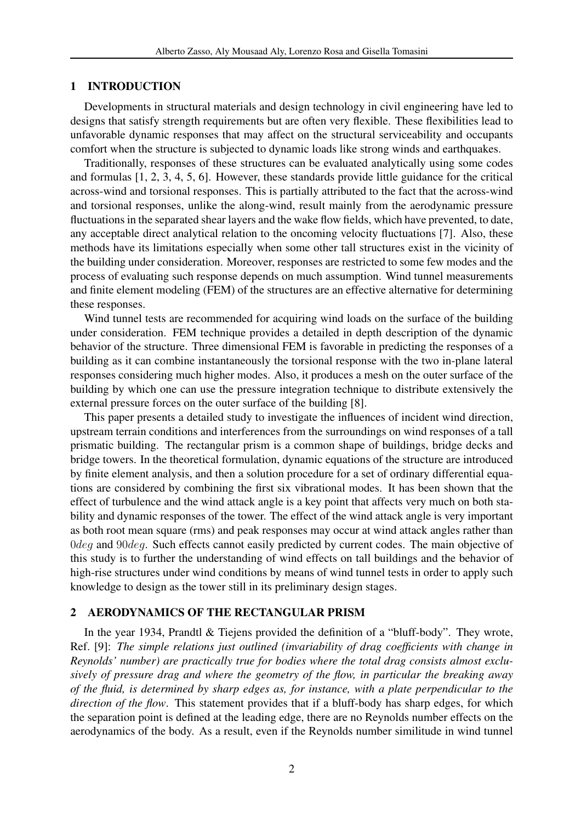### 1 INTRODUCTION

Developments in structural materials and design technology in civil engineering have led to designs that satisfy strength requirements but are often very flexible. These flexibilities lead to unfavorable dynamic responses that may affect on the structural serviceability and occupants comfort when the structure is subjected to dynamic loads like strong winds and earthquakes.

Traditionally, responses of these structures can be evaluated analytically using some codes and formulas [1, 2, 3, 4, 5, 6]. However, these standards provide little guidance for the critical across-wind and torsional responses. This is partially attributed to the fact that the across-wind and torsional responses, unlike the along-wind, result mainly from the aerodynamic pressure fluctuations in the separated shear layers and the wake flow fields, which have prevented, to date, any acceptable direct analytical relation to the oncoming velocity fluctuations [7]. Also, these methods have its limitations especially when some other tall structures exist in the vicinity of the building under consideration. Moreover, responses are restricted to some few modes and the process of evaluating such response depends on much assumption. Wind tunnel measurements and finite element modeling (FEM) of the structures are an effective alternative for determining these responses.

Wind tunnel tests are recommended for acquiring wind loads on the surface of the building under consideration. FEM technique provides a detailed in depth description of the dynamic behavior of the structure. Three dimensional FEM is favorable in predicting the responses of a building as it can combine instantaneously the torsional response with the two in-plane lateral responses considering much higher modes. Also, it produces a mesh on the outer surface of the building by which one can use the pressure integration technique to distribute extensively the external pressure forces on the outer surface of the building [8].

This paper presents a detailed study to investigate the influences of incident wind direction, upstream terrain conditions and interferences from the surroundings on wind responses of a tall prismatic building. The rectangular prism is a common shape of buildings, bridge decks and bridge towers. In the theoretical formulation, dynamic equations of the structure are introduced by finite element analysis, and then a solution procedure for a set of ordinary differential equations are considered by combining the first six vibrational modes. It has been shown that the effect of turbulence and the wind attack angle is a key point that affects very much on both stability and dynamic responses of the tower. The effect of the wind attack angle is very important as both root mean square (rms) and peak responses may occur at wind attack angles rather than Odeg and 90deg. Such effects cannot easily predicted by current codes. The main objective of this study is to further the understanding of wind effects on tall buildings and the behavior of high-rise structures under wind conditions by means of wind tunnel tests in order to apply such knowledge to design as the tower still in its preliminary design stages.

## 2 AERODYNAMICS OF THE RECTANGULAR PRISM

In the year 1934, Prandtl & Tiejens provided the definition of a "bluff-body". They wrote, Ref. [9]: *The simple relations just outlined (invariability of drag coefficients with change in Reynolds' number) are practically true for bodies where the total drag consists almost exclusively of pressure drag and where the geometry of the flow, in particular the breaking away of the fluid, is determined by sharp edges as, for instance, with a plate perpendicular to the direction of the flow*. This statement provides that if a bluff-body has sharp edges, for which the separation point is defined at the leading edge, there are no Reynolds number effects on the aerodynamics of the body. As a result, even if the Reynolds number similitude in wind tunnel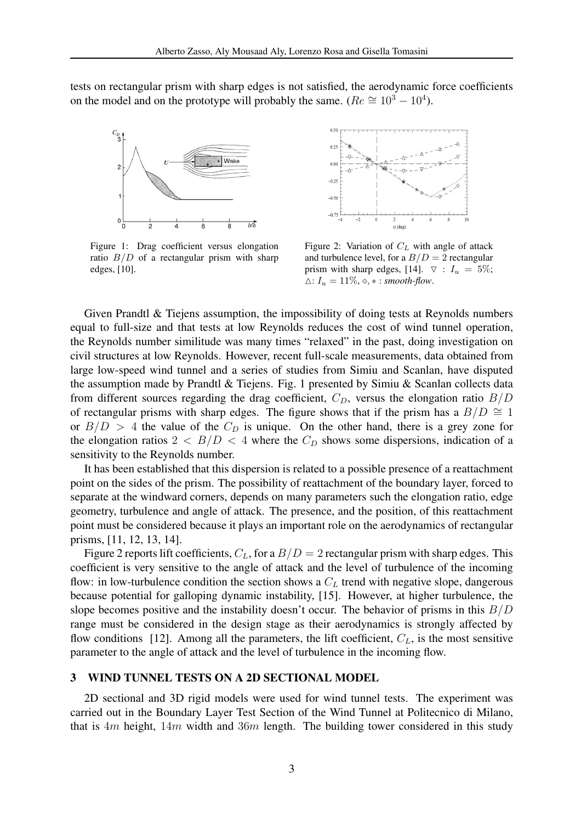tests on rectangular prism with sharp edges is not satisfied, the aerodynamic force coefficients on the model and on the prototype will probably the same. ( $Re \approx 10^3 - 10^4$ ).



Figure 1: Drag coefficient versus elongation ratio  $B/D$  of a rectangular prism with sharp edges, [10].



Figure 2: Variation of  $C<sub>L</sub>$  with angle of attack and turbulence level, for a  $B/D = 2$  rectangular prism with sharp edges, [14].  $\triangledown$  :  $I_u = 5\%;$  $\Delta: I_u = 11\%, \diamond, \ast: smooth-flow.$ 

Given Prandtl & Tiejens assumption, the impossibility of doing tests at Reynolds numbers equal to full-size and that tests at low Reynolds reduces the cost of wind tunnel operation, the Reynolds number similitude was many times "relaxed" in the past, doing investigation on civil structures at low Reynolds. However, recent full-scale measurements, data obtained from large low-speed wind tunnel and a series of studies from Simiu and Scanlan, have disputed the assumption made by Prandtl & Tiejens. Fig. 1 presented by Simiu & Scanlan collects data from different sources regarding the drag coefficient,  $C_D$ , versus the elongation ratio  $B/D$ of rectangular prisms with sharp edges. The figure shows that if the prism has a  $B/D \cong 1$ or  $B/D > 4$  the value of the  $C_D$  is unique. On the other hand, there is a grey zone for the elongation ratios  $2 < B/D < 4$  where the  $C_D$  shows some dispersions, indication of a sensitivity to the Reynolds number.

It has been established that this dispersion is related to a possible presence of a reattachment point on the sides of the prism. The possibility of reattachment of the boundary layer, forced to separate at the windward corners, depends on many parameters such the elongation ratio, edge geometry, turbulence and angle of attack. The presence, and the position, of this reattachment point must be considered because it plays an important role on the aerodynamics of rectangular prisms, [11, 12, 13, 14].

Figure 2 reports lift coefficients,  $C_L$ , for a  $B/D = 2$  rectangular prism with sharp edges. This coefficient is very sensitive to the angle of attack and the level of turbulence of the incoming flow: in low-turbulence condition the section shows a  $C<sub>L</sub>$  trend with negative slope, dangerous because potential for galloping dynamic instability, [15]. However, at higher turbulence, the slope becomes positive and the instability doesn't occur. The behavior of prisms in this  $B/D$ range must be considered in the design stage as their aerodynamics is strongly affected by flow conditions [12]. Among all the parameters, the lift coefficient,  $C_L$ , is the most sensitive parameter to the angle of attack and the level of turbulence in the incoming flow.

### 3 WIND TUNNEL TESTS ON A 2D SECTIONAL MODEL

2D sectional and 3D rigid models were used for wind tunnel tests. The experiment was carried out in the Boundary Layer Test Section of the Wind Tunnel at Politecnico di Milano, that is  $4m$  height,  $14m$  width and  $36m$  length. The building tower considered in this study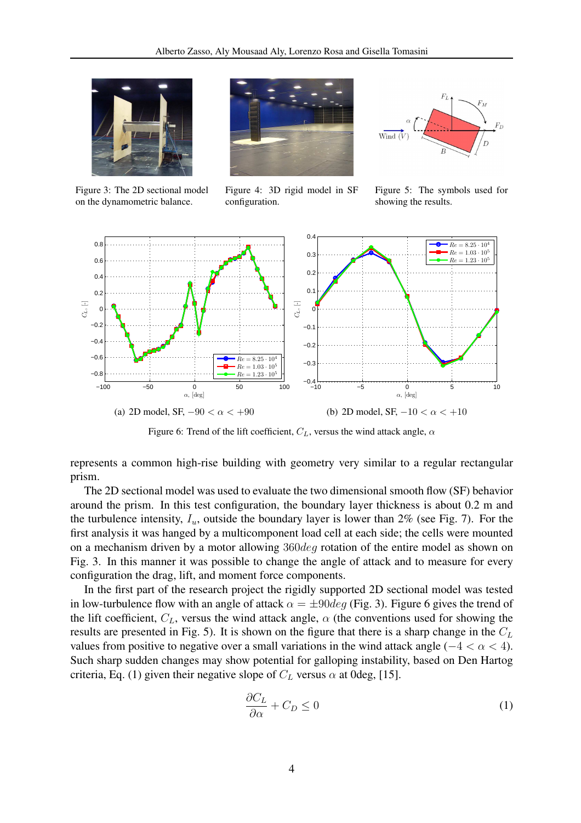

Figure 3: The 2D sectional model on the dynamometric balance.



Figure 4: 3D rigid model in SF configuration.



Figure 5: The symbols used for showing the results.



Figure 6: Trend of the lift coefficient,  $C_L$ , versus the wind attack angle,  $\alpha$ 

represents a common high-rise building with geometry very similar to a regular rectangular prism.

The 2D sectional model was used to evaluate the two dimensional smooth flow (SF) behavior around the prism. In this test configuration, the boundary layer thickness is about 0.2 m and the turbulence intensity,  $I_u$ , outside the boundary layer is lower than 2% (see Fig. 7). For the first analysis it was hanged by a multicomponent load cell at each side; the cells were mounted on a mechanism driven by a motor allowing 360deg rotation of the entire model as shown on Fig. 3. In this manner it was possible to change the angle of attack and to measure for every configuration the drag, lift, and moment force components.

In the first part of the research project the rigidly supported 2D sectional model was tested in low-turbulence flow with an angle of attack  $\alpha = \pm 90deg$  (Fig. 3). Figure 6 gives the trend of the lift coefficient,  $C_L$ , versus the wind attack angle,  $\alpha$  (the conventions used for showing the results are presented in Fig. 5). It is shown on the figure that there is a sharp change in the  $C<sub>L</sub>$ values from positive to negative over a small variations in the wind attack angle ( $-4 < \alpha < 4$ ). Such sharp sudden changes may show potential for galloping instability, based on Den Hartog criteria, Eq. (1) given their negative slope of  $C_L$  versus  $\alpha$  at 0deg, [15].

$$
\frac{\partial C_L}{\partial \alpha} + C_D \le 0 \tag{1}
$$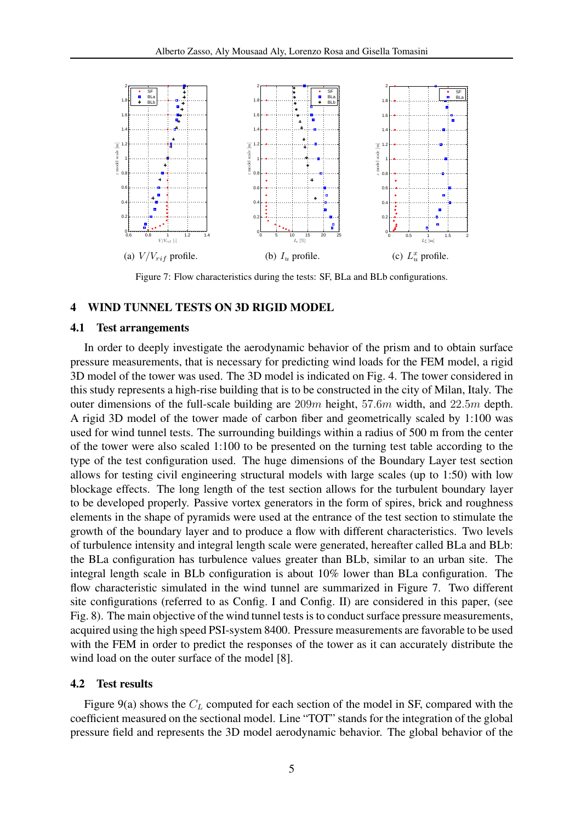

Figure 7: Flow characteristics during the tests: SF, BLa and BLb configurations.

### 4 WIND TUNNEL TESTS ON 3D RIGID MODEL

### 4.1 Test arrangements

In order to deeply investigate the aerodynamic behavior of the prism and to obtain surface pressure measurements, that is necessary for predicting wind loads for the FEM model, a rigid 3D model of the tower was used. The 3D model is indicated on Fig. 4. The tower considered in this study represents a high-rise building that is to be constructed in the city of Milan, Italy. The outer dimensions of the full-scale building are  $209m$  height,  $57.6m$  width, and  $22.5m$  depth. A rigid 3D model of the tower made of carbon fiber and geometrically scaled by 1:100 was used for wind tunnel tests. The surrounding buildings within a radius of 500 m from the center of the tower were also scaled 1:100 to be presented on the turning test table according to the type of the test configuration used. The huge dimensions of the Boundary Layer test section allows for testing civil engineering structural models with large scales (up to 1:50) with low blockage effects. The long length of the test section allows for the turbulent boundary layer to be developed properly. Passive vortex generators in the form of spires, brick and roughness elements in the shape of pyramids were used at the entrance of the test section to stimulate the growth of the boundary layer and to produce a flow with different characteristics. Two levels of turbulence intensity and integral length scale were generated, hereafter called BLa and BLb: the BLa configuration has turbulence values greater than BLb, similar to an urban site. The integral length scale in BLb configuration is about 10% lower than BLa configuration. The flow characteristic simulated in the wind tunnel are summarized in Figure 7. Two different site configurations (referred to as Config. I and Config. II) are considered in this paper, (see Fig. 8). The main objective of the wind tunnel tests is to conduct surface pressure measurements, acquired using the high speed PSI-system 8400. Pressure measurements are favorable to be used with the FEM in order to predict the responses of the tower as it can accurately distribute the wind load on the outer surface of the model [8].

### 4.2 Test results

Figure 9(a) shows the  $C_L$  computed for each section of the model in SF, compared with the coefficient measured on the sectional model. Line "TOT" stands for the integration of the global pressure field and represents the 3D model aerodynamic behavior. The global behavior of the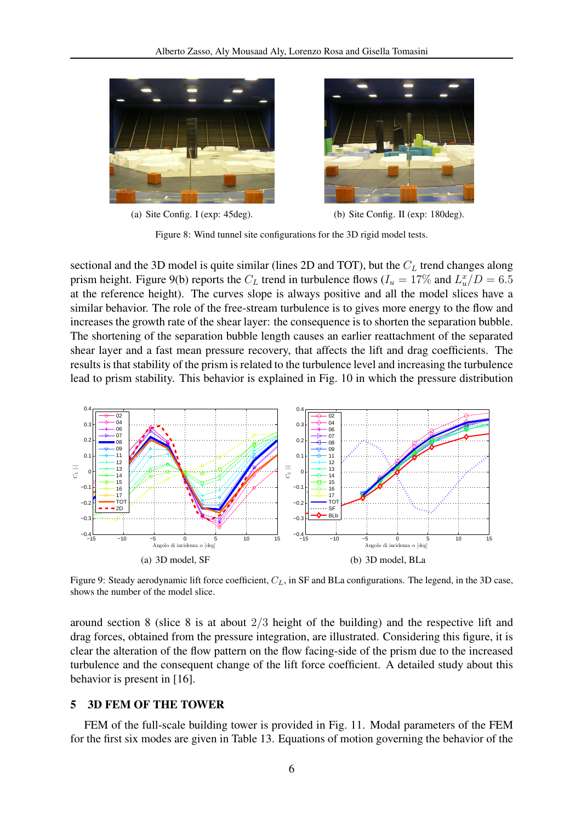

(a) Site Config. I (exp: 45deg). (b) Site Config. II (exp: 180deg).

Figure 8: Wind tunnel site configurations for the 3D rigid model tests.

sectional and the 3D model is quite similar (lines 2D and TOT), but the  $C<sub>L</sub>$  trend changes along prism height. Figure 9(b) reports the  $C_L$  trend in turbulence flows ( $I_u = 17\%$  and  $L_u^x/D = 6.5$ at the reference height). The curves slope is always positive and all the model slices have a similar behavior. The role of the free-stream turbulence is to gives more energy to the flow and increases the growth rate of the shear layer: the consequence is to shorten the separation bubble. The shortening of the separation bubble length causes an earlier reattachment of the separated shear layer and a fast mean pressure recovery, that affects the lift and drag coefficients. The results is that stability of the prism is related to the turbulence level and increasing the turbulence lead to prism stability. This behavior is explained in Fig. 10 in which the pressure distribution



Figure 9: Steady aerodynamic lift force coefficient,  $C_L$ , in SF and BLa configurations. The legend, in the 3D case, shows the number of the model slice.

around section 8 (slice 8 is at about 2/3 height of the building) and the respective lift and drag forces, obtained from the pressure integration, are illustrated. Considering this figure, it is clear the alteration of the flow pattern on the flow facing-side of the prism due to the increased turbulence and the consequent change of the lift force coefficient. A detailed study about this behavior is present in [16].

### 5 3D FEM OF THE TOWER

FEM of the full-scale building tower is provided in Fig. 11. Modal parameters of the FEM for the first six modes are given in Table 13. Equations of motion governing the behavior of the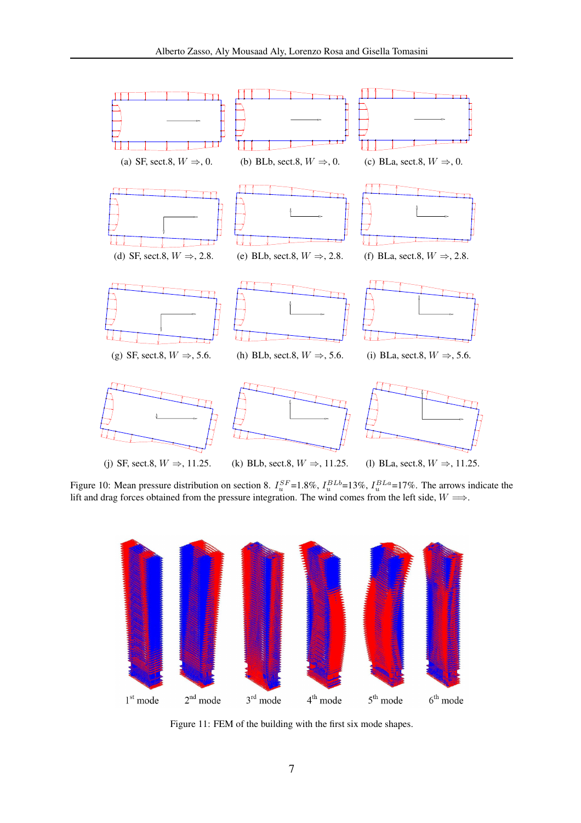

Figure 10: Mean pressure distribution on section 8.  $I_u^{SF}$ =1.8%,  $I_u^{BLb}$ =13%,  $I_u^{BLa}$ =17%. The arrows indicate the lift and drag forces obtained from the pressure integration. The wind comes from the left side,  $W \Longrightarrow$ .



Figure 11: FEM of the building with the first six mode shapes.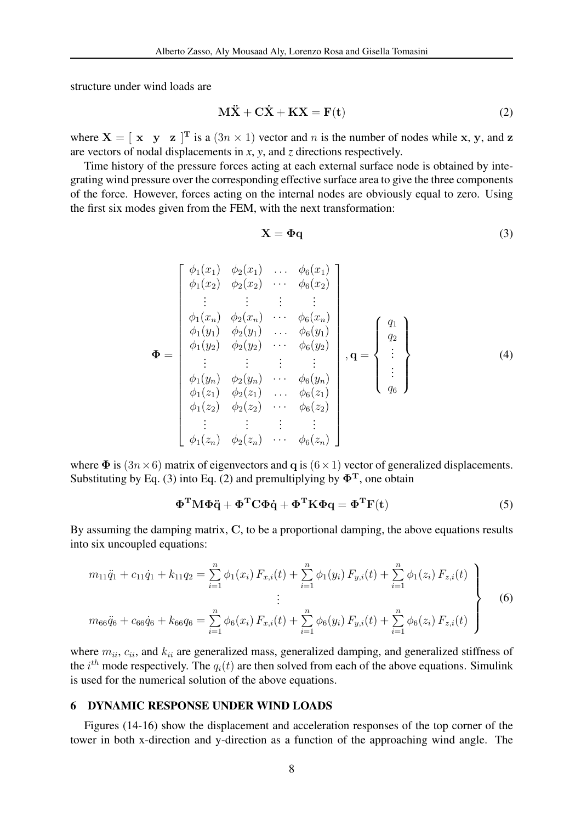structure under wind loads are

$$
M\ddot{X} + C\dot{X} + KX = F(t)
$$
 (2)

where  $X = [x \ y \ z]^T$  is a  $(3n \times 1)$  vector and n is the number of nodes while x, y, and z are vectors of nodal displacements in *x*, *y*, and *z* directions respectively.

Time history of the pressure forces acting at each external surface node is obtained by integrating wind pressure over the corresponding effective surface area to give the three components of the force. However, forces acting on the internal nodes are obviously equal to zero. Using the first six modes given from the FEM, with the next transformation:

$$
\mathbf{X} = \mathbf{\Phi}\mathbf{q} \tag{3}
$$

$$
\Phi = \begin{bmatrix}\n\phi_1(x_1) & \phi_2(x_1) & \cdots & \phi_6(x_1) \\
\phi_1(x_2) & \phi_2(x_2) & \cdots & \phi_6(x_2) \\
\vdots & \vdots & \vdots & \vdots \\
\phi_1(x_n) & \phi_2(x_n) & \cdots & \phi_6(x_n) \\
\phi_1(y_1) & \phi_2(y_1) & \cdots & \phi_6(y_1) \\
\phi_1(y_2) & \phi_2(y_2) & \cdots & \phi_6(y_2) \\
\vdots & \vdots & \vdots & \vdots \\
\phi_1(y_n) & \phi_2(y_n) & \cdots & \phi_6(y_n) \\
\phi_1(z_1) & \phi_2(z_1) & \cdots & \phi_6(z_1) \\
\phi_1(z_2) & \phi_2(z_2) & \cdots & \phi_6(z_2) \\
\vdots & \vdots & \vdots & \vdots & \vdots \\
\phi_1(z_n) & \phi_2(z_n) & \cdots & \phi_6(z_n)\n\end{bmatrix}, \mathbf{q} = \begin{Bmatrix}\nq_1 \\
q_2 \\
\vdots \\
q_6\n\end{Bmatrix}
$$
\n(4)

where  $\Phi$  is  $(3n \times 6)$  matrix of eigenvectors and q is  $(6 \times 1)$  vector of generalized displacements. Substituting by Eq. (3) into Eq. (2) and premultiplying by  $\Phi^T$ , one obtain

$$
\Phi^{\mathrm{T}} M \Phi \ddot{q} + \Phi^{\mathrm{T}} C \Phi \dot{q} + \Phi^{\mathrm{T}} K \Phi q = \Phi^{\mathrm{T}} F(t) \tag{5}
$$

By assuming the damping matrix, C, to be a proportional damping, the above equations results into six uncoupled equations:

$$
m_{11}\ddot{q}_1 + c_{11}\dot{q}_1 + k_{11}q_2 = \sum_{i=1}^n \phi_1(x_i) F_{x,i}(t) + \sum_{i=1}^n \phi_1(y_i) F_{y,i}(t) + \sum_{i=1}^n \phi_1(z_i) F_{z,i}(t)
$$
  
\n
$$
\vdots
$$
  
\n
$$
m_{66}\ddot{q}_6 + c_{66}\dot{q}_6 + k_{66}q_6 = \sum_{i=1}^n \phi_6(x_i) F_{x,i}(t) + \sum_{i=1}^n \phi_6(y_i) F_{y,i}(t) + \sum_{i=1}^n \phi_6(z_i) F_{z,i}(t)
$$
\n(6)

where  $m_{ii}$ ,  $c_{ii}$ , and  $k_{ii}$  are generalized mass, generalized damping, and generalized stiffness of the  $i^{th}$  mode respectively. The  $q_i(t)$  are then solved from each of the above equations. Simulink is used for the numerical solution of the above equations.

#### 6 DYNAMIC RESPONSE UNDER WIND LOADS

Figures (14-16) show the displacement and acceleration responses of the top corner of the tower in both x-direction and y-direction as a function of the approaching wind angle. The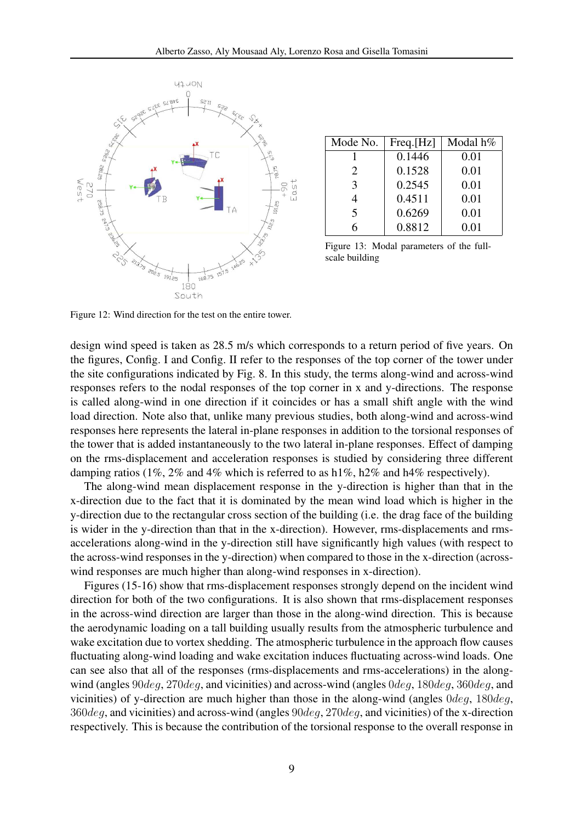

| Mode No.              | Freq.[Hz] | Modal h% |
|-----------------------|-----------|----------|
|                       | 0.1446    | 0.01     |
| $\mathcal{D}_{\cdot}$ | 0.1528    | 0.01     |
| $\mathcal{R}$         | 0.2545    | 0.01     |
| 4                     | 0.4511    | 0.01     |
| 5                     | 0.6269    | 0.01     |
|                       | 0.8812    | 0.01     |

Figure 13: Modal parameters of the fullscale building

Figure 12: Wind direction for the test on the entire tower.

design wind speed is taken as 28.5 m/s which corresponds to a return period of five years. On the figures, Config. I and Config. II refer to the responses of the top corner of the tower under the site configurations indicated by Fig. 8. In this study, the terms along-wind and across-wind responses refers to the nodal responses of the top corner in x and y-directions. The response is called along-wind in one direction if it coincides or has a small shift angle with the wind load direction. Note also that, unlike many previous studies, both along-wind and across-wind responses here represents the lateral in-plane responses in addition to the torsional responses of the tower that is added instantaneously to the two lateral in-plane responses. Effect of damping on the rms-displacement and acceleration responses is studied by considering three different damping ratios (1%, 2% and 4% which is referred to as  $h1\%$ ,  $h2\%$  and  $h4\%$  respectively).

The along-wind mean displacement response in the y-direction is higher than that in the x-direction due to the fact that it is dominated by the mean wind load which is higher in the y-direction due to the rectangular cross section of the building (i.e. the drag face of the building is wider in the y-direction than that in the x-direction). However, rms-displacements and rmsaccelerations along-wind in the y-direction still have significantly high values (with respect to the across-wind responses in the y-direction) when compared to those in the x-direction (acrosswind responses are much higher than along-wind responses in x-direction).

Figures (15-16) show that rms-displacement responses strongly depend on the incident wind direction for both of the two configurations. It is also shown that rms-displacement responses in the across-wind direction are larger than those in the along-wind direction. This is because the aerodynamic loading on a tall building usually results from the atmospheric turbulence and wake excitation due to vortex shedding. The atmospheric turbulence in the approach flow causes fluctuating along-wind loading and wake excitation induces fluctuating across-wind loads. One can see also that all of the responses (rms-displacements and rms-accelerations) in the alongwind (angles 90deq, 270deq, and vicinities) and across-wind (angles 0deq, 180deq, 360deq, and vicinities) of y-direction are much higher than those in the along-wind (angles 0deg, 180deg,  $360deg$ , and vicinities) and across-wind (angles  $90deg$ ,  $270deg$ , and vicinities) of the x-direction respectively. This is because the contribution of the torsional response to the overall response in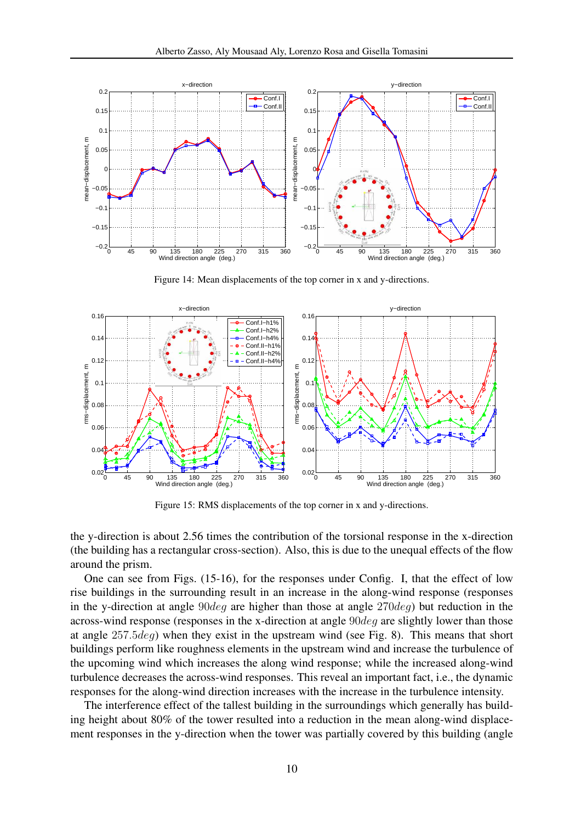

Figure 14: Mean displacements of the top corner in x and y-directions.



Figure 15: RMS displacements of the top corner in x and y-directions.

the y-direction is about 2.56 times the contribution of the torsional response in the x-direction (the building has a rectangular cross-section). Also, this is due to the unequal effects of the flow around the prism.

One can see from Figs. (15-16), for the responses under Config. I, that the effect of low rise buildings in the surrounding result in an increase in the along-wind response (responses in the y-direction at angle  $90deg$  are higher than those at angle  $270deg$ ) but reduction in the across-wind response (responses in the x-direction at angle 90deg are slightly lower than those at angle 257.5deg) when they exist in the upstream wind (see Fig. 8). This means that short buildings perform like roughness elements in the upstream wind and increase the turbulence of the upcoming wind which increases the along wind response; while the increased along-wind turbulence decreases the across-wind responses. This reveal an important fact, i.e., the dynamic responses for the along-wind direction increases with the increase in the turbulence intensity.

The interference effect of the tallest building in the surroundings which generally has building height about 80% of the tower resulted into a reduction in the mean along-wind displacement responses in the y-direction when the tower was partially covered by this building (angle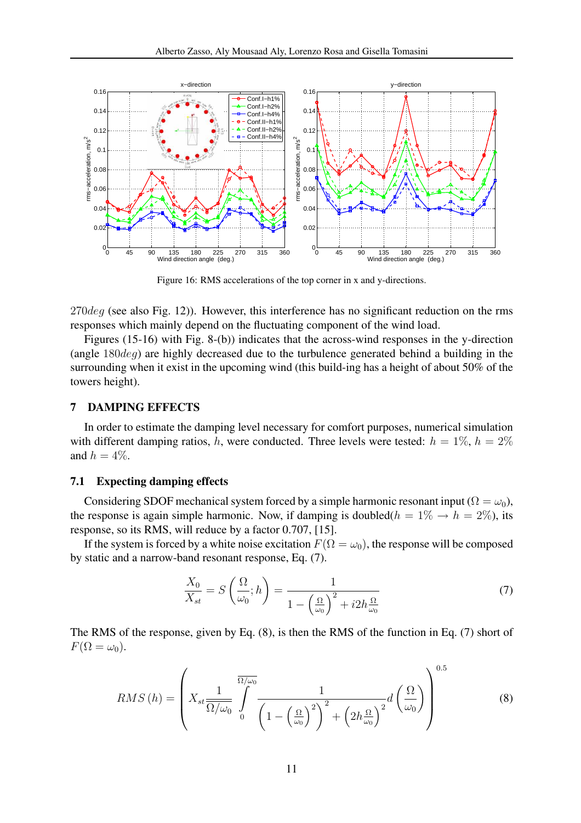

Figure 16: RMS accelerations of the top corner in x and y-directions.

 $270deg$  (see also Fig. 12)). However, this interference has no significant reduction on the rms responses which mainly depend on the fluctuating component of the wind load.

Figures (15-16) with Fig. 8-(b)) indicates that the across-wind responses in the y-direction (angle 180deg) are highly decreased due to the turbulence generated behind a building in the surrounding when it exist in the upcoming wind (this build-ing has a height of about 50% of the towers height).

### 7 DAMPING EFFECTS

In order to estimate the damping level necessary for comfort purposes, numerical simulation with different damping ratios, h, were conducted. Three levels were tested:  $h = 1\%$ ,  $h = 2\%$ and  $h = 4\%$ .

### 7.1 Expecting damping effects

Considering SDOF mechanical system forced by a simple harmonic resonant input ( $\Omega = \omega_0$ ), the response is again simple harmonic. Now, if damping is doubled( $h = 1\% \rightarrow h = 2\%$ ), its response, so its RMS, will reduce by a factor 0.707, [15].

If the system is forced by a white noise excitation  $F(\Omega = \omega_0)$ , the response will be composed by static and a narrow-band resonant response, Eq. (7).

$$
\frac{X_0}{X_{st}} = S\left(\frac{\Omega}{\omega_0}; h\right) = \frac{1}{1 - \left(\frac{\Omega}{\omega_0}\right)^2 + i2h\frac{\Omega}{\omega_0}}
$$
\n(7)

The RMS of the response, given by Eq. (8), is then the RMS of the function in Eq. (7) short of  $F(\Omega = \omega_0)$ .

$$
RMS\left(h\right) = \left(X_{st} \frac{1}{\Omega/\omega_0} \int\limits_{0}^{\overline{\Omega/\omega_0}} \frac{1}{\left(1 - \left(\frac{\Omega}{\omega_0}\right)^2\right)^2 + \left(2h\frac{\Omega}{\omega_0}\right)^2} d\left(\frac{\Omega}{\omega_0}\right)\right)^{0.5} \tag{8}
$$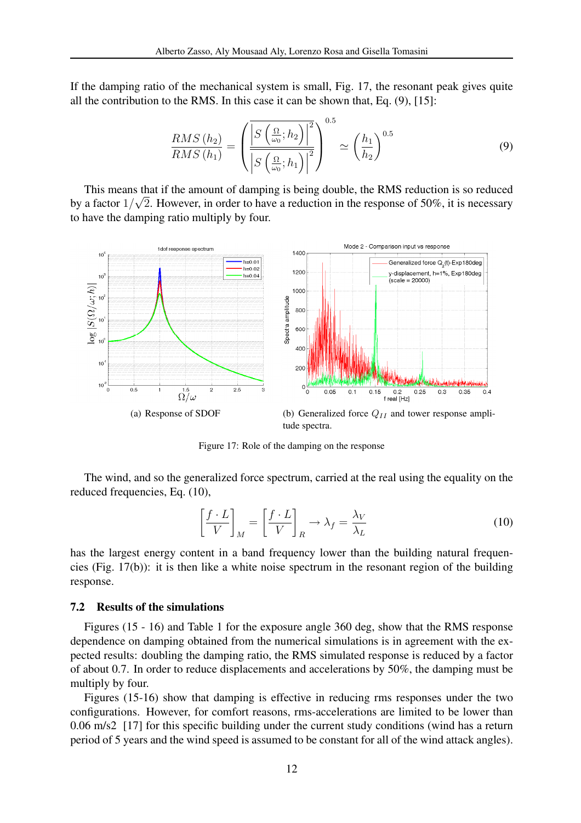If the damping ratio of the mechanical system is small, Fig. 17, the resonant peak gives quite all the contribution to the RMS. In this case it can be shown that, Eq. (9), [15]:

$$
\frac{RMS\left(h_{2}\right)}{RMS\left(h_{1}\right)} = \left(\frac{\left|S\left(\frac{\Omega}{\omega_{0}};h_{2}\right)\right|^{2}}{\left|S\left(\frac{\Omega}{\omega_{0}};h_{1}\right)\right|^{2}}\right)^{0.5} \simeq \left(\frac{h_{1}}{h_{2}}\right)^{0.5} \tag{9}
$$

This means that if the amount of damping is being double, the RMS reduction is so reduced by a factor  $1/\sqrt{2}$ . However, in order to have a reduction in the response of 50%, it is necessary to have the damping ratio multiply by four.



tude spectra.

Figure 17: Role of the damping on the response

The wind, and so the generalized force spectrum, carried at the real using the equality on the reduced frequencies, Eq. (10),

$$
\left[\frac{f \cdot L}{V}\right]_M = \left[\frac{f \cdot L}{V}\right]_R \to \lambda_f = \frac{\lambda_V}{\lambda_L}
$$
\n(10)

has the largest energy content in a band frequency lower than the building natural frequencies (Fig. 17(b)): it is then like a white noise spectrum in the resonant region of the building response.

### 7.2 Results of the simulations

Figures (15 - 16) and Table 1 for the exposure angle 360 deg, show that the RMS response dependence on damping obtained from the numerical simulations is in agreement with the expected results: doubling the damping ratio, the RMS simulated response is reduced by a factor of about 0.7. In order to reduce displacements and accelerations by 50%, the damping must be multiply by four.

Figures (15-16) show that damping is effective in reducing rms responses under the two configurations. However, for comfort reasons, rms-accelerations are limited to be lower than 0.06 m/s2 [17] for this specific building under the current study conditions (wind has a return period of 5 years and the wind speed is assumed to be constant for all of the wind attack angles).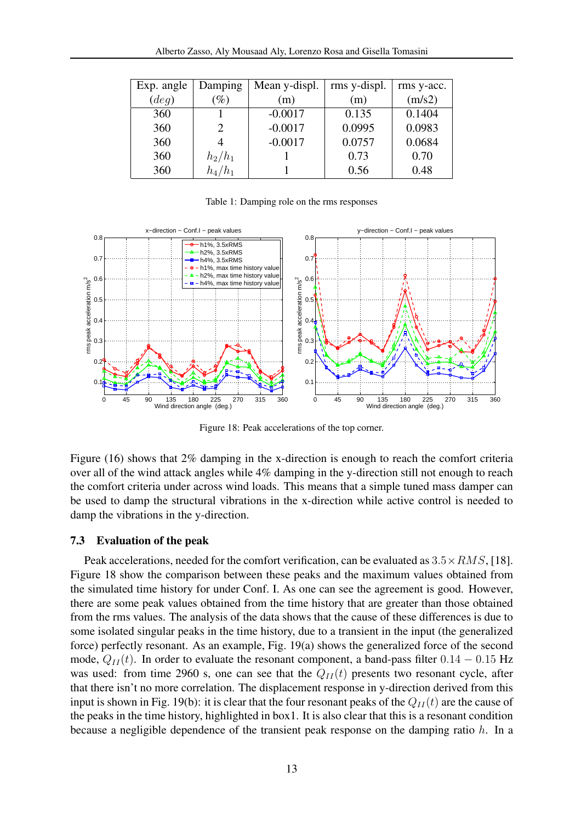| Exp. angle | Damping                     | Mean y-displ. | rms y-displ. | rms y-acc. |
|------------|-----------------------------|---------------|--------------|------------|
| (deg)      | $\%$                        | (m)           | (m)          | (m/s2)     |
| 360        |                             | $-0.0017$     | 0.135        | 0.1404     |
| 360        | $\mathcal{D}_{\mathcal{A}}$ | $-0.0017$     | 0.0995       | 0.0983     |
| 360        |                             | $-0.0017$     | 0.0757       | 0.0684     |
| 360        | $h_2/h_1$                   |               | 0.73         | 0.70       |
| 360        | $h_4/h_1$                   |               | 0.56         | 0.48       |

Table 1: Damping role on the rms responses



Figure 18: Peak accelerations of the top corner.

Figure (16) shows that 2% damping in the x-direction is enough to reach the comfort criteria over all of the wind attack angles while 4% damping in the y-direction still not enough to reach the comfort criteria under across wind loads. This means that a simple tuned mass damper can be used to damp the structural vibrations in the x-direction while active control is needed to damp the vibrations in the y-direction.

### 7.3 Evaluation of the peak

Peak accelerations, needed for the comfort verification, can be evaluated as  $3.5 \times RMS$ , [18]. Figure 18 show the comparison between these peaks and the maximum values obtained from the simulated time history for under Conf. I. As one can see the agreement is good. However, there are some peak values obtained from the time history that are greater than those obtained from the rms values. The analysis of the data shows that the cause of these differences is due to some isolated singular peaks in the time history, due to a transient in the input (the generalized force) perfectly resonant. As an example, Fig. 19(a) shows the generalized force of the second mode,  $Q_{II}(t)$ . In order to evaluate the resonant component, a band-pass filter  $0.14 - 0.15$  Hz was used: from time 2960 s, one can see that the  $Q_{II}(t)$  presents two resonant cycle, after that there isn't no more correlation. The displacement response in y-direction derived from this input is shown in Fig. 19(b): it is clear that the four resonant peaks of the  $Q_{II}(t)$  are the cause of the peaks in the time history, highlighted in box1. It is also clear that this is a resonant condition because a negligible dependence of the transient peak response on the damping ratio h. In a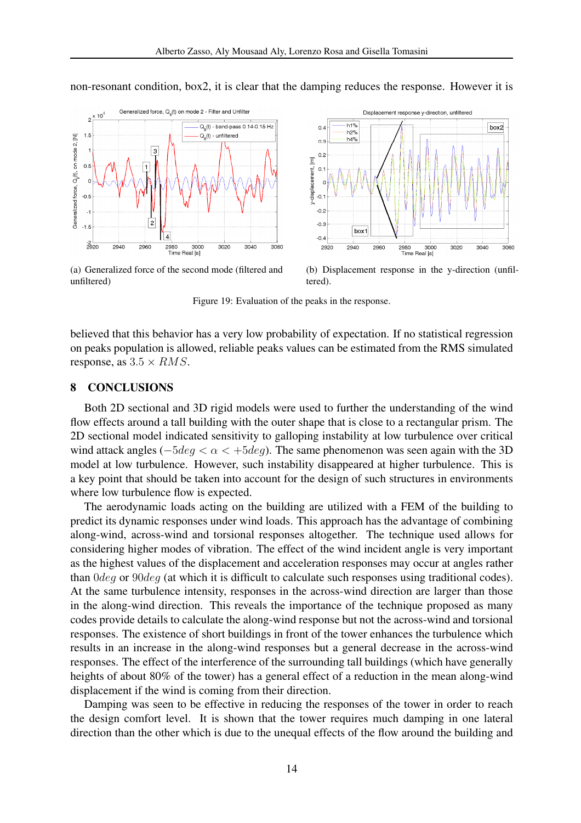

non-resonant condition, box2, it is clear that the damping reduces the response. However it is

(a) Generalized force of the second mode (filtered and unfiltered)

(b) Displacement response in the y-direction (unfiltered).

Figure 19: Evaluation of the peaks in the response.

believed that this behavior has a very low probability of expectation. If no statistical regression on peaks population is allowed, reliable peaks values can be estimated from the RMS simulated response, as  $3.5 \times RMS$ .

### 8 CONCLUSIONS

Both 2D sectional and 3D rigid models were used to further the understanding of the wind flow effects around a tall building with the outer shape that is close to a rectangular prism. The 2D sectional model indicated sensitivity to galloping instability at low turbulence over critical wind attack angles ( $-5deg < \alpha < +5deg$ ). The same phenomenon was seen again with the 3D model at low turbulence. However, such instability disappeared at higher turbulence. This is a key point that should be taken into account for the design of such structures in environments where low turbulence flow is expected.

The aerodynamic loads acting on the building are utilized with a FEM of the building to predict its dynamic responses under wind loads. This approach has the advantage of combining along-wind, across-wind and torsional responses altogether. The technique used allows for considering higher modes of vibration. The effect of the wind incident angle is very important as the highest values of the displacement and acceleration responses may occur at angles rather than 0deg or 90deg (at which it is difficult to calculate such responses using traditional codes). At the same turbulence intensity, responses in the across-wind direction are larger than those in the along-wind direction. This reveals the importance of the technique proposed as many codes provide details to calculate the along-wind response but not the across-wind and torsional responses. The existence of short buildings in front of the tower enhances the turbulence which results in an increase in the along-wind responses but a general decrease in the across-wind responses. The effect of the interference of the surrounding tall buildings (which have generally heights of about 80% of the tower) has a general effect of a reduction in the mean along-wind displacement if the wind is coming from their direction.

Damping was seen to be effective in reducing the responses of the tower in order to reach the design comfort level. It is shown that the tower requires much damping in one lateral direction than the other which is due to the unequal effects of the flow around the building and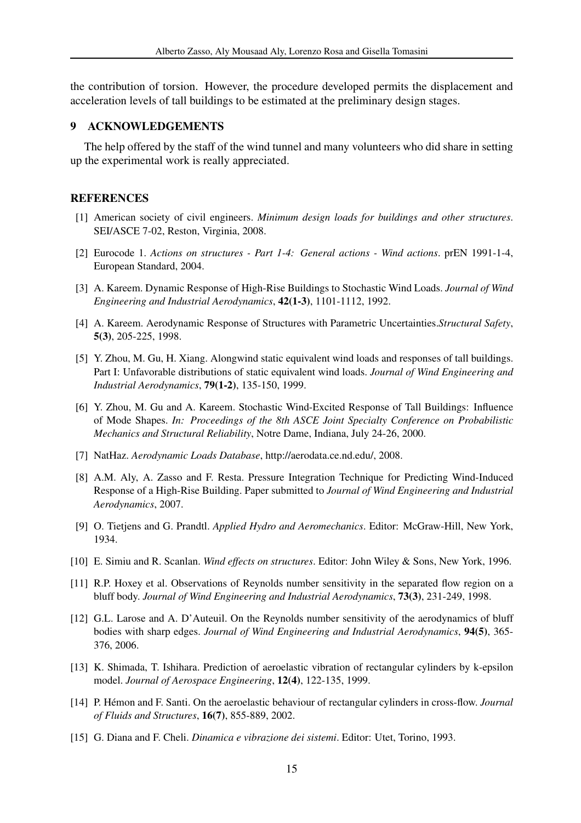the contribution of torsion. However, the procedure developed permits the displacement and acceleration levels of tall buildings to be estimated at the preliminary design stages.

### 9 ACKNOWLEDGEMENTS

The help offered by the staff of the wind tunnel and many volunteers who did share in setting up the experimental work is really appreciated.

### REFERENCES

- [1] American society of civil engineers. *Minimum design loads for buildings and other structures*. SEI/ASCE 7-02, Reston, Virginia, 2008.
- [2] Eurocode 1. *Actions on structures Part 1-4: General actions Wind actions*. prEN 1991-1-4, European Standard, 2004.
- [3] A. Kareem. Dynamic Response of High-Rise Buildings to Stochastic Wind Loads. *Journal of Wind Engineering and Industrial Aerodynamics*, 42(1-3), 1101-1112, 1992.
- [4] A. Kareem. Aerodynamic Response of Structures with Parametric Uncertainties.*Structural Safety*, 5(3), 205-225, 1998.
- [5] Y. Zhou, M. Gu, H. Xiang. Alongwind static equivalent wind loads and responses of tall buildings. Part I: Unfavorable distributions of static equivalent wind loads. *Journal of Wind Engineering and Industrial Aerodynamics*, 79(1-2), 135-150, 1999.
- [6] Y. Zhou, M. Gu and A. Kareem. Stochastic Wind-Excited Response of Tall Buildings: Influence of Mode Shapes. *In: Proceedings of the 8th ASCE Joint Specialty Conference on Probabilistic Mechanics and Structural Reliability*, Notre Dame, Indiana, July 24-26, 2000.
- [7] NatHaz. *Aerodynamic Loads Database*, http://aerodata.ce.nd.edu/, 2008.
- [8] A.M. Aly, A. Zasso and F. Resta. Pressure Integration Technique for Predicting Wind-Induced Response of a High-Rise Building. Paper submitted to *Journal of Wind Engineering and Industrial Aerodynamics*, 2007.
- [9] O. Tietjens and G. Prandtl. *Applied Hydro and Aeromechanics*. Editor: McGraw-Hill, New York, 1934.
- [10] E. Simiu and R. Scanlan. *Wind effects on structures*. Editor: John Wiley & Sons, New York, 1996.
- [11] R.P. Hoxey et al. Observations of Reynolds number sensitivity in the separated flow region on a bluff body. *Journal of Wind Engineering and Industrial Aerodynamics*, 73(3), 231-249, 1998.
- [12] G.L. Larose and A. D'Auteuil. On the Reynolds number sensitivity of the aerodynamics of bluff bodies with sharp edges. *Journal of Wind Engineering and Industrial Aerodynamics*, 94(5), 365- 376, 2006.
- [13] K. Shimada, T. Ishihara. Prediction of aeroelastic vibration of rectangular cylinders by k-epsilon model. *Journal of Aerospace Engineering*, 12(4), 122-135, 1999.
- [14] P. Hemon and F. Santi. On the aeroelastic behaviour of rectangular cylinders in cross-flow. ´ *Journal of Fluids and Structures*, 16(7), 855-889, 2002.
- [15] G. Diana and F. Cheli. *Dinamica e vibrazione dei sistemi*. Editor: Utet, Torino, 1993.